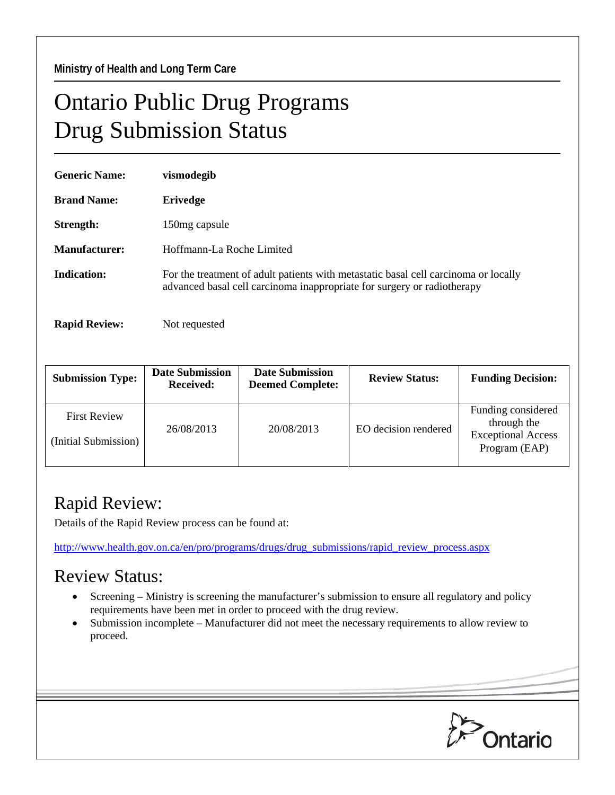## Ontario Public Drug Programs Drug Submission Status

| <b>Generic Name:</b> | vismodegib                                                                                                                                                     |  |  |
|----------------------|----------------------------------------------------------------------------------------------------------------------------------------------------------------|--|--|
| <b>Brand Name:</b>   | Erivedge                                                                                                                                                       |  |  |
| Strength:            | 150 mg capsule                                                                                                                                                 |  |  |
| Manufacturer:        | Hoffmann-La Roche Limited                                                                                                                                      |  |  |
| Indication:          | For the treatment of adult patients with metastatic basal cell carcinoma or locally<br>advanced basal cell carcinoma inappropriate for surgery or radiotherapy |  |  |
| <b>Rapid Review:</b> | Not requested                                                                                                                                                  |  |  |

| <b>Submission Type:</b>                     | <b>Date Submission</b><br><b>Received:</b> | <b>Date Submission</b><br><b>Deemed Complete:</b> | <b>Review Status:</b> | <b>Funding Decision:</b>                                                        |
|---------------------------------------------|--------------------------------------------|---------------------------------------------------|-----------------------|---------------------------------------------------------------------------------|
| <b>First Review</b><br>(Initial Submission) | 26/08/2013                                 | 20/08/2013                                        | EO decision rendered  | Funding considered<br>through the<br><b>Exceptional Access</b><br>Program (EAP) |

## Rapid Review:

Details of the Rapid Review process can be found at:

[http://www.health.gov.on.ca/en/pro/programs/drugs/drug\\_submissions/rapid\\_review\\_process.aspx](http://www.health.gov.on.ca/en/pro/programs/drugs/drug_submissions/rapid_review_process.aspx)

## Review Status:

- Screening Ministry is screening the manufacturer's submission to ensure all regulatory and policy requirements have been met in order to proceed with the drug review.
- Submission incomplete Manufacturer did not meet the necessary requirements to allow review to proceed.